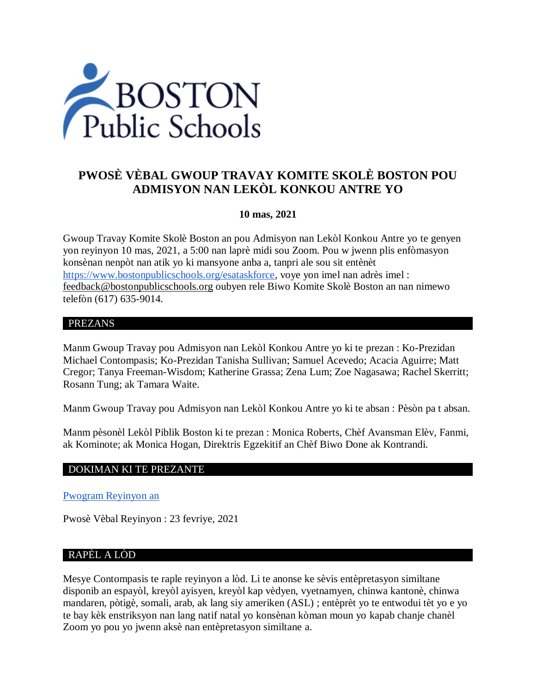

# **PWOSÈ VÈBAL GWOUP TRAVAY KOMITE SKOLÈ BOSTON POU ADMISYON NAN LEKÒL KONKOU ANTRE YO**

### **10 mas, 2021**

Gwoup Travay Komite Skolè Boston an pou Admisyon nan Lekòl Konkou Antre yo te genyen yon reyinyon 10 mas, 2021, a 5:00 nan laprè midi sou Zoom. Pou w jwenn plis enfòmasyon konsènan nenpòt nan atik yo ki mansyone anba a, tanpri ale sou sit entènèt [https://www.bostonpublicschools.org/esataskforce,](https://www.bostonpublicschools.org/esataskforce) voye yon imel nan adrès imel : [feedback@bostonpublicschools.org](mailto:feedback@bostonpublicschools.org) oubyen rele Biwo Komite Skolè Boston an nan nimewo telefòn (617) 635-9014.

### PREZANS

Manm Gwoup Travay pou Admisyon nan Lekòl Konkou Antre yo ki te prezan : Ko-Prezidan Michael Contompasis; Ko-Prezidan Tanisha Sullivan; Samuel Acevedo; Acacia Aguirre; Matt Cregor; Tanya Freeman-Wisdom; Katherine Grassa; Zena Lum; Zoe Nagasawa; Rachel Skerritt; Rosann Tung; ak Tamara Waite.

Manm Gwoup Travay pou Admisyon nan Lekòl Konkou Antre yo ki te absan : Pèsòn pa t absan.

Manm pèsonèl Lekòl Piblik Boston ki te prezan : Monica Roberts, Chèf Avansman Elèv, Fanmi, ak Kominote; ak Monica Hogan, Direktris Egzekitif an Chèf Biwo Done ak Kontrandi.

### DOKIMAN KI TE PREZANTE

[Pwogram Reyinyon an](https://www.boston.gov/public-notices/14768876)

Pwosè Vèbal Reyinyon : 23 fevriye, 2021

### RAPÈL A LÒD

Mesye Contompasis te raple reyinyon a lòd. Li te anonse ke sèvis entèpretasyon similtane disponib an espayòl, kreyòl ayisyen, kreyòl kap vèdyen, vyetnamyen, chinwa kantonè, chinwa mandaren, pòtigè, somali, arab, ak lang siy ameriken (ASL) ; entèprèt yo te entwodui tèt yo e yo te bay kèk enstriksyon nan lang natif natal yo konsènan kòman moun yo kapab chanje chanèl Zoom yo pou yo jwenn aksè nan entèpretasyon similtane a.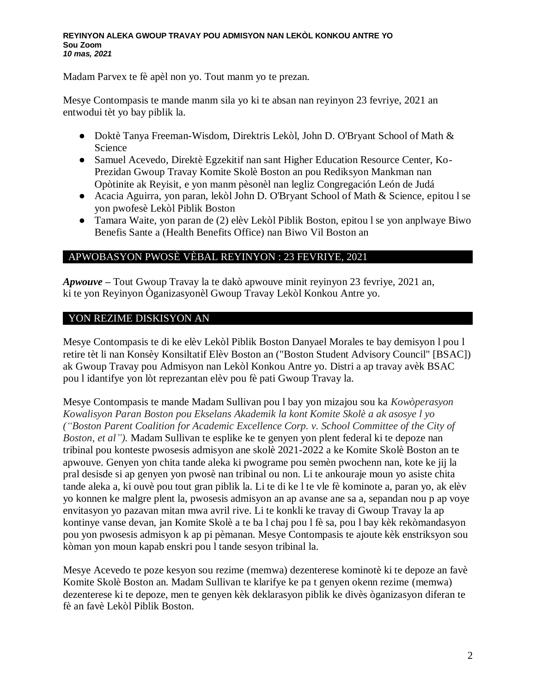#### **REYINYON ALEKA GWOUP TRAVAY POU ADMISYON NAN LEKÒL KONKOU ANTRE YO Sou Zoom** *10 mas, 2021*

Madam Parvex te fè apèl non yo. Tout manm yo te prezan.

Mesye Contompasis te mande manm sila yo ki te absan nan reyinyon 23 fevriye, 2021 an entwodui tèt yo bay piblik la.

- Doktè Tanya Freeman-Wisdom, Direktris Lekòl, John D. O'Bryant School of Math & Science
- Samuel Acevedo, Direktè Egzekitif nan sant Higher Education Resource Center, Ko-Prezidan Gwoup Travay Komite Skolè Boston an pou Rediksyon Mankman nan Opòtinite ak Reyisit, e yon manm pèsonèl nan legliz Congregación León de Judá
- Acacia Aguirra, yon paran, lekòl John D. O'Bryant School of Math & Science, epitou l se yon pwofesè Lekòl Piblik Boston
- Tamara Waite, yon paran de (2) elèv Lekòl Piblik Boston, epitou l se yon anplwaye Biwo Benefis Sante a (Health Benefits Office) nan Biwo Vil Boston an

### APWOBASYON PWOSÈ VÈBAL REYINYON : 23 FEVRIYE, 2021

*Apwouve –* Tout Gwoup Travay la te dakò apwouve minit reyinyon 23 fevriye, 2021 an, ki te yon Reyinyon Òganizasyonèl Gwoup Travay Lekòl Konkou Antre yo.

### YON REZIME DISKISYON AN

Mesye Contompasis te di ke elèv Lekòl Piblik Boston Danyael Morales te bay demisyon l pou l retire tèt li nan Konsèy Konsiltatif Elèv Boston an ("Boston Student Advisory Council" [BSAC]) ak Gwoup Travay pou Admisyon nan Lekòl Konkou Antre yo. Distri a ap travay avèk BSAC pou l idantifye yon lòt reprezantan elèv pou fè pati Gwoup Travay la.

Mesye Contompasis te mande Madam Sullivan pou l bay yon mizajou sou ka *Kowòperasyon Kowalisyon Paran Boston pou Ekselans Akademik la kont Komite Skolè a ak asosye l yo ("Boston Parent Coalition for Academic Excellence Corp. v. School Committee of the City of Boston, et al").* Madam Sullivan te esplike ke te genyen yon plent federal ki te depoze nan tribinal pou konteste pwosesis admisyon ane skolè 2021-2022 a ke Komite Skolè Boston an te apwouve. Genyen yon chita tande aleka ki pwograme pou semèn pwochenn nan, kote ke jij la pral desisde si ap genyen yon pwosè nan tribinal ou non. Li te ankouraje moun yo asiste chita tande aleka a, ki ouvè pou tout gran piblik la. Li te di ke l te vle fè kominote a, paran yo, ak elèv yo konnen ke malgre plent la, pwosesis admisyon an ap avanse ane sa a, sepandan nou p ap voye envitasyon yo pazavan mitan mwa avril rive. Li te konkli ke travay di Gwoup Travay la ap kontinye vanse devan, jan Komite Skolè a te ba l chaj pou l fè sa, pou l bay kèk rekòmandasyon pou yon pwosesis admisyon k ap pi pèmanan. Mesye Contompasis te ajoute kèk enstriksyon sou kòman yon moun kapab enskri pou l tande sesyon tribinal la.

Mesye Acevedo te poze kesyon sou rezime (memwa) dezenterese kominotè ki te depoze an favè Komite Skolè Boston an. Madam Sullivan te klarifye ke pa t genyen okenn rezime (memwa) dezenterese ki te depoze, men te genyen kèk deklarasyon piblik ke divès òganizasyon diferan te fè an favè Lekòl Piblik Boston.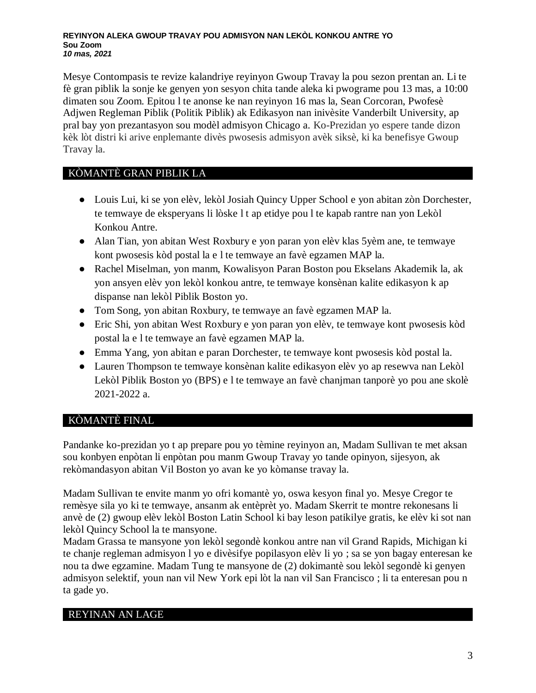#### **REYINYON ALEKA GWOUP TRAVAY POU ADMISYON NAN LEKÒL KONKOU ANTRE YO Sou Zoom** *10 mas, 2021*

Mesye Contompasis te revize kalandriye reyinyon Gwoup Travay la pou sezon prentan an. Li te fè gran piblik la sonje ke genyen yon sesyon chita tande aleka ki pwograme pou 13 mas, a 10:00 dimaten sou Zoom. Epitou l te anonse ke nan reyinyon 16 mas la, Sean Corcoran, Pwofesè Adjwen Regleman Piblik (Politik Piblik) ak Edikasyon nan inivèsite Vanderbilt University, ap pral bay yon prezantasyon sou modèl admisyon Chicago a. Ko-Prezidan yo espere tande dizon kèk lòt distri ki arive enplemante divès pwosesis admisyon avèk siksè, ki ka benefisye Gwoup Travay la.

# KÒMANTÈ GRAN PIBLIK LA

- Louis Lui, ki se yon elèv, lekòl Josiah Quincy Upper School e yon abitan zòn Dorchester, te temwaye de eksperyans li lòske l t ap etidye pou l te kapab rantre nan yon Lekòl Konkou Antre.
- Alan Tian, yon abitan West Roxbury e yon paran yon elèv klas 5yèm ane, te temwaye kont pwosesis kòd postal la e l te temwaye an favè egzamen MAP la.
- Rachel Miselman, yon manm, Kowalisyon Paran Boston pou Ekselans Akademik la, ak yon ansyen elèv yon lekòl konkou antre, te temwaye konsènan kalite edikasyon k ap dispanse nan lekòl Piblik Boston yo.
- Tom Song, yon abitan Roxbury, te temwaye an favè egzamen MAP la.
- Eric Shi, yon abitan West Roxbury e yon paran yon elèv, te temwaye kont pwosesis kòd postal la e l te temwaye an favè egzamen MAP la.
- Emma Yang, yon abitan e paran Dorchester, te temwaye kont pwosesis kòd postal la.
- Lauren Thompson te temwaye konsènan kalite edikasyon elèv yo ap resewva nan Lekòl Lekòl Piblik Boston yo (BPS) e l te temwaye an favè chanjman tanporè yo pou ane skolè 2021-2022 a.

# KÒMANTÈ FINAL

Pandanke ko-prezidan yo t ap prepare pou yo tèmine reyinyon an, Madam Sullivan te met aksan sou konbyen enpòtan li enpòtan pou manm Gwoup Travay yo tande opinyon, sijesyon, ak rekòmandasyon abitan Vil Boston yo avan ke yo kòmanse travay la.

Madam Sullivan te envite manm yo ofri komantè yo, oswa kesyon final yo. Mesye Cregor te remèsye sila yo ki te temwaye, ansanm ak entèprèt yo. Madam Skerrit te montre rekonesans li anvè de (2) gwoup elèv lekòl Boston Latin School ki bay leson patikilye gratis, ke elèv ki sot nan lekòl Quincy School la te mansyone.

Madam Grassa te mansyone yon lekòl segondè konkou antre nan vil Grand Rapids, Michigan ki te chanje regleman admisyon l yo e divèsifye popilasyon elèv li yo ; sa se yon bagay enteresan ke nou ta dwe egzamine. Madam Tung te mansyone de (2) dokimantè sou lekòl segondè ki genyen admisyon selektif, youn nan vil New York epi lòt la nan vil San Francisco ; li ta enteresan pou n ta gade yo.

# REYINAN AN LAGE